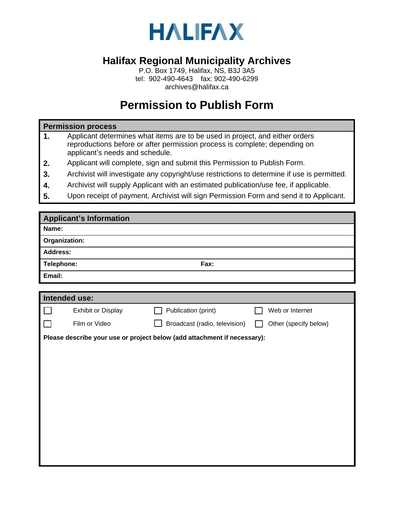

## **Halifax Regional Municipality Archives**

P.O. Box 1749, Halifax, NS, B3J 3A5 tel: 902-490-4643 fax: 902-490-6299 archives@halifax.ca

## **Permission to Publish Form**

## **Permission process**

- **1.** Applicant determines what items are to be used in project, and either orders reproductions before or after permission process is complete; depending on applicant's needs and schedule.
- **2.** Applicant will complete, sign and submit this Permission to Publish Form.
- **3.** Archivist will investigate any copyright/use restrictions to determine if use is permitted.
- **4.** Archivist will supply Applicant with an estimated publication/use fee, if applicable.
- **5.** Upon receipt of payment, Archivist will sign Permission Form and send it to Applicant.

| <b>Applicant's Information</b>                                           |                    |                               |                       |  |  |  |  |  |
|--------------------------------------------------------------------------|--------------------|-------------------------------|-----------------------|--|--|--|--|--|
| Name:                                                                    |                    |                               |                       |  |  |  |  |  |
| Organization:                                                            |                    |                               |                       |  |  |  |  |  |
| <b>Address:</b>                                                          |                    |                               |                       |  |  |  |  |  |
| Telephone:                                                               |                    | Fax:                          |                       |  |  |  |  |  |
| Email:                                                                   |                    |                               |                       |  |  |  |  |  |
|                                                                          |                    |                               |                       |  |  |  |  |  |
| <b>Intended use:</b>                                                     |                    |                               |                       |  |  |  |  |  |
|                                                                          | Exhibit or Display | Publication (print)           | Web or Internet       |  |  |  |  |  |
|                                                                          | Film or Video      | Broadcast (radio, television) | Other (specify below) |  |  |  |  |  |
| Please describe your use or project below (add attachment if necessary): |                    |                               |                       |  |  |  |  |  |
|                                                                          |                    |                               |                       |  |  |  |  |  |
|                                                                          |                    |                               |                       |  |  |  |  |  |
|                                                                          |                    |                               |                       |  |  |  |  |  |
|                                                                          |                    |                               |                       |  |  |  |  |  |
|                                                                          |                    |                               |                       |  |  |  |  |  |
|                                                                          |                    |                               |                       |  |  |  |  |  |
|                                                                          |                    |                               |                       |  |  |  |  |  |
|                                                                          |                    |                               |                       |  |  |  |  |  |
|                                                                          |                    |                               |                       |  |  |  |  |  |
|                                                                          |                    |                               |                       |  |  |  |  |  |